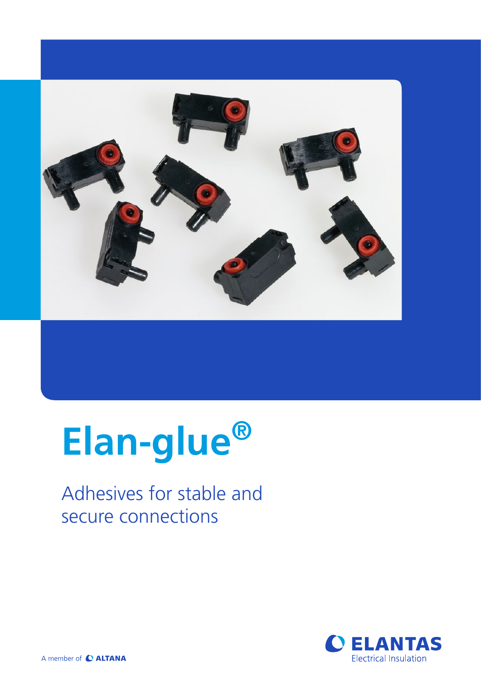

# **Elan-glue®**

### Adhesives for stable and secure connections

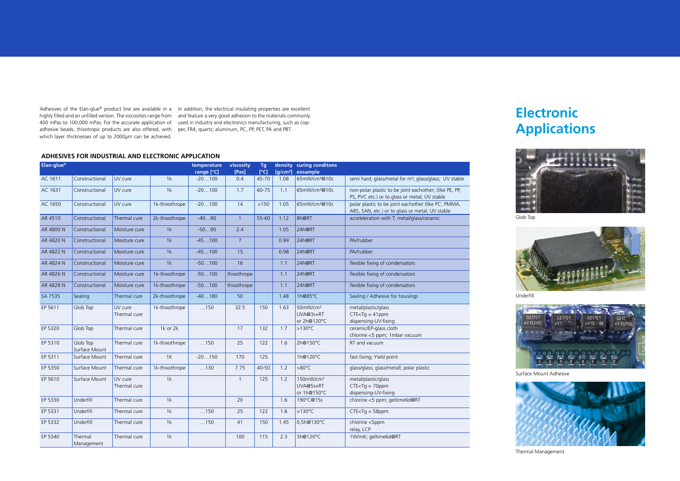Adhesives of the Elan-glue® product line are available in a ln addition, the electrical insulating properties are excellent highly filled and an unfilled version. The viscosities range from and feature a very good adhesion to the materials commonly 400 mPas to 100,000 mPas. For the accurate application of used in industry and electronics manufacturing, such as copadhesive beads, thixotropic products are also offered, with per, FR4, quartz, aluminum, PC, PP, PET, PA and PBT. which layer thicknesses of up to 2000μm can be achieved.

## **Electronic Applications**









Sealing Thermal Management

#### **ADHESIVES FOR INDUSTRIAL AND ELECTRONIC APPLICATION**

| Elan-glue <sup>®</sup> |                           |                         |                | temperature<br>range [°C] | viscosity<br>[Pas] | Tq<br>$I^{\circ}$ Cl | [a/cm <sup>3</sup> ] | density curing conditons<br>exsample                                                         |                                                                                                         |
|------------------------|---------------------------|-------------------------|----------------|---------------------------|--------------------|----------------------|----------------------|----------------------------------------------------------------------------------------------|---------------------------------------------------------------------------------------------------------|
| AC 1611                | Constructional            | UV cure                 | 1k             | $-20100$                  | 0.4                | $45 - 70$            | 1.08                 | 65mW/cm <sup>2</sup> @10s                                                                    | semi hard; glass/metal for m <sup>2</sup> ; glass/glass; UV stable                                      |
| AC 1631                | Constructional            | UV cure                 | 1k             | $-20100$                  | 1.7                | 60-75                | 1.1                  | 65mW/cm <sup>2</sup> @10s                                                                    | non-polar plastic to be joint eachother; (like PE, PP,<br>PS, PVC etc.) or to glass or metal; UV stable |
| AC 1650                | Constructional            | UV cure                 | 1k-thixothrope | $-20100$                  | 14                 | $>150$               |                      | 1.05 65mW/cm <sup>2</sup> @10s                                                               | polar plastic to be joint eachother (like PC; PMMA,<br>ABS, SAN, etc.) or to glass or metal; UV stable  |
| AR 4510                | Constructional            | Thermal cure            | 2k-thixothrope | $-4090$                   | $\overline{1}$     | 55-60                |                      | 1.12 $\overline{\smash{\big)}\smash{\mathsf{8} \mathsf{h} \mathsf{Q} \mathsf{R} \mathsf{T}}$ | acceleleration with T; metal/glass/ceramic                                                              |
| AR 4800 N              | Constructional            | Moisture cure           | 1k             | $-5090$                   | 2.4                |                      | 1.05                 | 24h@RT                                                                                       |                                                                                                         |
| AR 4820 N              | Constructional            | Moisture cure           | 1k             | $-45100$                  | $7^{\circ}$        |                      | 0.99                 | 24h@RT                                                                                       | PA//rubber                                                                                              |
| AR 4822 N              | Constructional            | Moisture cure           | 1k             | $-45100$                  | 15 <sup>2</sup>    |                      | 0.98                 | 24h@RT                                                                                       | PA//rubber                                                                                              |
| AR 4824 N              | Constructional            | Moisture cure           | 1k             | $-50100$                  | 16                 |                      | 1.1                  | 24h@RT                                                                                       | flexible fixing of condensators                                                                         |
| AR 4826 N              | Constructional            | Moisture cure           | 1k-thixothrope | $-50100$                  | thixothrope        |                      | 1.1                  | 24h@RT                                                                                       | flexible fixing of condensators                                                                         |
| AR 4828 N              | Constructional            | Moisture cure           | 1k-thixothrope | $-50100$                  | thixothrope        |                      | 1.1                  | 24h@RT                                                                                       | flexible fixing of condensators                                                                         |
| SA 7535                | Sealing                   | Thermal cure            | 2k-thixothrope | $-40180$                  | 50                 |                      | 1.48                 | 1h@85°C                                                                                      | Sealing / Adhesive for housings                                                                         |
| EP 5611                | Glob Top                  | UV cure<br>Thermal cure | 1k-thixothrope | $\dots$ 150               | 32.5               | 150                  | 1.63                 | 50mW/cm <sup>2</sup><br>UVA@3s+RT<br>or 2h@120°C                                             | metal/plastic/glass<br>$CTE < Tg = 41$ ppm<br>dispensing-UV-fixing                                      |
| EP 5320                | Glob Top                  | Thermal cure            | 1k or 2k       |                           | 17                 | 132                  | 1.7                  | $  > 130^{\circ}$ C                                                                          | ceramic/EP-glass cloth<br>chlorine <5 ppm; 1mbar vacuum                                                 |
| EP 5310                | Glob Top<br>Surface Mount | Thermal cure            | 1k-thixothrope | $\dots$ 150               | 25                 | 122                  | 1.6                  | 2h@150°C                                                                                     | RT and vacuum                                                                                           |
| EP 5311                | Surface Mount             | Thermal cure            | 1K             | $-20150$                  | 170                | 125                  |                      | 1h@120°C                                                                                     | fast fixing; Yield point                                                                                |
| EP 5350                | Surface Mount             | Thermal cure            | 1k-thixothrope | $\dots$ 130               | 7.75               | 40-50                | 1.2                  | $  > 80^{\circ}$ C                                                                           | glass/glass; glass/metall; polar plastic                                                                |
| EP 5610                | Surface Mount             | UV cure<br>Thermal cure | 1k             |                           | $\overline{1}$     | 125                  | 1.2                  | 150mW/cm <sup>2</sup><br>UVA@5s+RT<br>or 1h@150°C                                            | metal/plastic/glass<br>$CTE < Tg = 70$ ppm<br>dispensing-UV-fixing                                      |
| EP 5330                | Underfill                 | Thermal cure            | 1k             |                           | 20                 |                      | 1.6                  | 190°C@15s                                                                                    | chlorine <5 ppm; geltime6d@RT                                                                           |
| EP 5331                | Underfill                 | Thermal cure            | 1k             | $\dots$ 150               | 25                 | 122                  | 1.6                  | $  > 130^{\circ}$ C                                                                          | $CTE < Tg = 58$ ppm                                                                                     |
| EP 5332                | Underfill                 | Thermal cure            | 1k             | $\dots$ 150               | 41                 | 150                  | 1.45                 | 0,5h@130°C                                                                                   | chlorine <5ppm<br>relay, LCP                                                                            |
| EP 5340                | Thermal<br>Management     | Thermal cure            | 1k             |                           | 100                | 115                  | 2.3                  | 3h@120°C                                                                                     | 1W/mK; geltime6d@RT                                                                                     |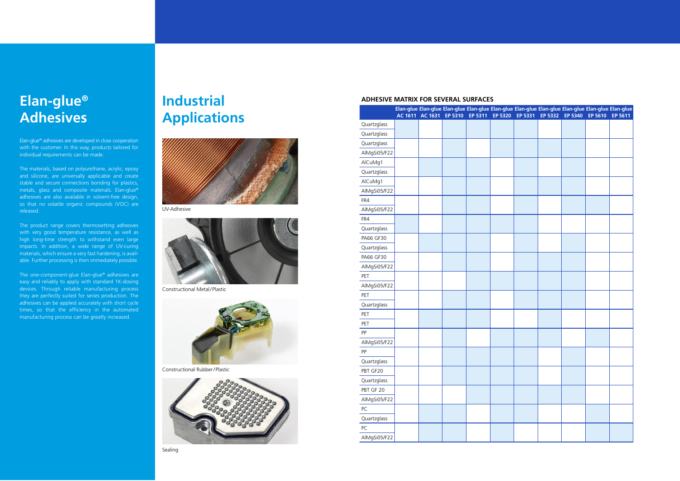Elan-glue ® adhesives are developed in close cooperation with the customer. In this way, products tailored for individual requirements can be made.

The materials, based on polyurethane, acrylic, epoxy and silicone, are universally applicable and create stable and secure connections bonding for plastics, metals, glass and composite materials. Elan-glue ® adhesives are also available in solvent-free design, so that no volatile organic compounds (VOC) are released.

The product range covers thermosetting adhesives with very good temperature resistance, as well as high long-time strength to withstand even large impacts. In addition, a wide range of UV-curing materials, which ensure a very fast hardening, is avail able. Further processing is then immediately possible.

The one-component-glue Elan-glue ® adhesives are easy and reliably to apply with standard 1K-dosing devices. Through reliable manufacturing process they are perfectly suited for series production. The adhesives can be applied accurately with short cycle times, so that the efficiency in the automated manufacturing process can be greatly increased.

#### **Elan-glue ® Adhesives**

## **Industrial Applications**





#### **ADHESIVE MATRIX FOR SEVERAL SURFACES**



Constructional Metal



Constructional Rubber



| <u>IIIUUSU Idl</u>            |                  | Elan-glue Elan-glue Elan-glue Elan-glue Elan-glue Elan-glue Elan-glue Elan-glue Elan-glue Elan-glue<br>AC 1611 AC 1631 EP 5310 EP 5311 EP 5320 EP 5331 EP 5332 EP 5340 EP 5610 EP 5611 |  |  |  |  |  |  |  |
|-------------------------------|------------------|----------------------------------------------------------------------------------------------------------------------------------------------------------------------------------------|--|--|--|--|--|--|--|
| <b>Applications</b>           | Quartzglass      |                                                                                                                                                                                        |  |  |  |  |  |  |  |
|                               | Quartzglass      |                                                                                                                                                                                        |  |  |  |  |  |  |  |
|                               | Quartzglass      |                                                                                                                                                                                        |  |  |  |  |  |  |  |
|                               | AlMgSi05/F22     |                                                                                                                                                                                        |  |  |  |  |  |  |  |
|                               | AlCuMg1          |                                                                                                                                                                                        |  |  |  |  |  |  |  |
|                               | Quartzglass      |                                                                                                                                                                                        |  |  |  |  |  |  |  |
|                               | AlCuMg1          |                                                                                                                                                                                        |  |  |  |  |  |  |  |
|                               | AlMgSi05/F22     |                                                                                                                                                                                        |  |  |  |  |  |  |  |
|                               | FR4              |                                                                                                                                                                                        |  |  |  |  |  |  |  |
| UV-Adhesive                   | AlMgSi05/F22     |                                                                                                                                                                                        |  |  |  |  |  |  |  |
|                               | FR4              |                                                                                                                                                                                        |  |  |  |  |  |  |  |
|                               | Quartzglass      |                                                                                                                                                                                        |  |  |  |  |  |  |  |
|                               | PA66 GF30        |                                                                                                                                                                                        |  |  |  |  |  |  |  |
|                               | Quartzglass      |                                                                                                                                                                                        |  |  |  |  |  |  |  |
|                               | <b>PA66 GF30</b> |                                                                                                                                                                                        |  |  |  |  |  |  |  |
|                               | AlMgSi05/F22     |                                                                                                                                                                                        |  |  |  |  |  |  |  |
|                               | PET              |                                                                                                                                                                                        |  |  |  |  |  |  |  |
| Constructional Metal/Plastic  | AlMgSi05/F22     |                                                                                                                                                                                        |  |  |  |  |  |  |  |
|                               | PET              |                                                                                                                                                                                        |  |  |  |  |  |  |  |
|                               | Quartzglass      |                                                                                                                                                                                        |  |  |  |  |  |  |  |
|                               | PET              |                                                                                                                                                                                        |  |  |  |  |  |  |  |
|                               | PET              |                                                                                                                                                                                        |  |  |  |  |  |  |  |
|                               | PP               |                                                                                                                                                                                        |  |  |  |  |  |  |  |
|                               | AlMgSi05/F22     |                                                                                                                                                                                        |  |  |  |  |  |  |  |
|                               | PP               |                                                                                                                                                                                        |  |  |  |  |  |  |  |
|                               | Quartzglass      |                                                                                                                                                                                        |  |  |  |  |  |  |  |
| Constructional Rubber/Plastic | PBT GF20         |                                                                                                                                                                                        |  |  |  |  |  |  |  |
|                               | Quartzglass      |                                                                                                                                                                                        |  |  |  |  |  |  |  |
|                               | PBT GF 20        |                                                                                                                                                                                        |  |  |  |  |  |  |  |
|                               | AlMgSi05/F22     |                                                                                                                                                                                        |  |  |  |  |  |  |  |
|                               | PC               |                                                                                                                                                                                        |  |  |  |  |  |  |  |
|                               | Quartzglass      |                                                                                                                                                                                        |  |  |  |  |  |  |  |
|                               | PC               |                                                                                                                                                                                        |  |  |  |  |  |  |  |
|                               | AlMgSi05/F22     |                                                                                                                                                                                        |  |  |  |  |  |  |  |